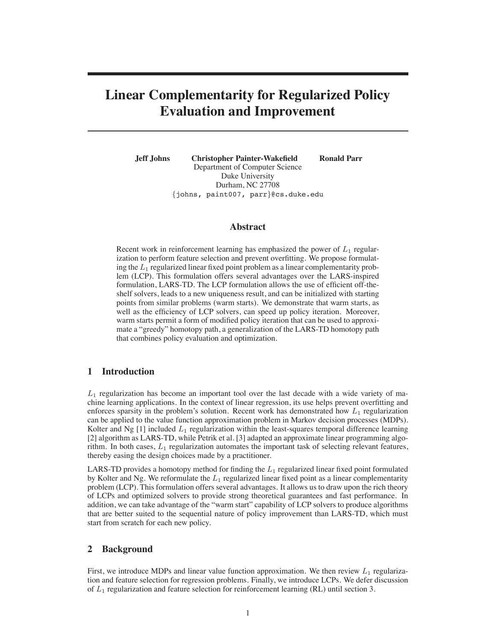# **Linear Complementarity for Regularized Policy Evaluation and Improvement**

**Jeff Johns Christopher Painter-Wakefield Ronald Parr** Department of Computer Science Duke University Durham, NC 27708

#### **Abstract**

{johns, paint007, parr}@cs.duke.edu

Recent work in reinforcement learning has emphasized the power of  $L_1$  regularization to perform feature selection and prevent overfitting. We propose formulating the  $L_1$  regularized linear fixed point problem as a linear complementarity problem (LCP). This formulation offers several advantages over the LARS-inspired formulation, LARS-TD. The LCP formulation allows the use of efficient off-theshelf solvers, leads to a new uniqueness result, and can be initialized with starting points from similar problems (warm starts). We demonstrate that warm starts, as well as the efficiency of LCP solvers, can speed up policy iteration. Moreover, warm starts permit a form of modified policy iteration that can be used to approximate a "greedy" homotopy path, a generalization of the LARS-TD homotopy path that combines policy evaluation and optimization.

### **1 Introduction**

 $L_1$  regularization has become an important tool over the last decade with a wide variety of machine learning applications. In the context of linear regression, its use helps prevent overfitting and enforces sparsity in the problem's solution. Recent work has demonstrated how  $L_1$  regularization can be applied to the value function approximation problem in Markov decision processes (MDPs). Kolter and Ng [1] included  $L_1$  regularization within the least-squares temporal difference learning [2] algorithm as LARS-TD, while Petrik et al. [3] adapted an approximate linear programming algorithm. In both cases,  $L_1$  regularization automates the important task of selecting relevant features, thereby easing the design choices made by a practitioner.

LARS-TD provides a homotopy method for finding the  $L_1$  regularized linear fixed point formulated by Kolter and Ng. We reformulate the  $L_1$  regularized linear fixed point as a linear complementarity problem (LCP). This formulation offers several advantages. It allows us to draw upon the rich theory of LCPs and optimized solvers to provide strong theoretical guarantees and fast performance. In addition, we can take advantage of the "warm start" capability of LCP solvers to produce algorithms that are better suited to the sequential nature of policy improvement than LARS-TD, which must start from scratch for each new policy.

#### **2 Background**

First, we introduce MDPs and linear value function approximation. We then review  $L_1$  regularization and feature selection for regression problems. Finally, we introduce LCPs. We defer discussion of  $L_1$  regularization and feature selection for reinforcement learning (RL) until section 3.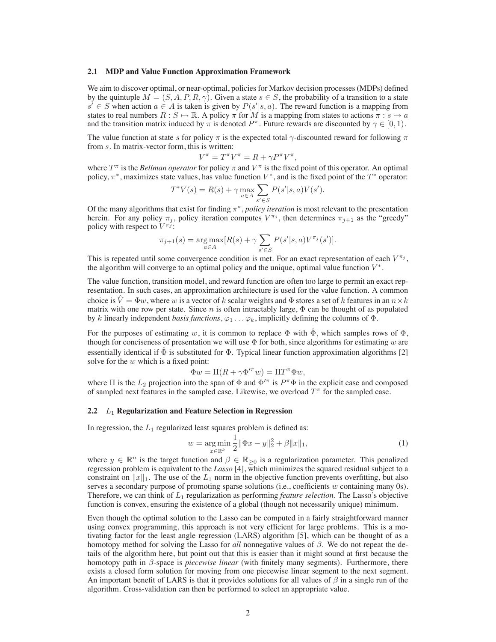#### **2.1 MDP and Value Function Approximation Framework**

We aim to discover optimal, or near-optimal, policies for Markov decision processes (MDPs) defined by the quintuple  $M = (S, A, P, R, \gamma)$ . Given a state  $s \in S$ , the probability of a transition to a state  $s' \in S$  when action  $a \in A$  is taken is given by  $P(s'|s, a)$ . The reward function is a mapping from states to real numbers  $R : S \mapsto \mathbb{R}$ . A policy  $\pi$  for M is a mapping from states to actions  $\pi : s \mapsto a$ and the transition matrix induced by  $\pi$  is denoted  $P^{\pi}$ . Future rewards are discounted by  $\gamma \in [0, 1)$ .

The value function at state s for policy  $\pi$  is the expected total  $\gamma$ -discounted reward for following  $\pi$ from s. In matrix-vector form, this is written:

$$
V^{\pi} = T^{\pi} V^{\pi} = R + \gamma P^{\pi} V^{\pi},
$$

where  $T^{\pi}$  is the *Bellman operator* for policy  $\pi$  and  $V^{\pi}$  is the fixed point of this operator. An optimal policy,  $\pi^*$ , maximizes state values, has value function  $V^*$ , and is the fixed point of the  $T^*$  operator:

$$
T^*V(s) = R(s) + \gamma \max_{a \in A} \sum_{s' \in S} P(s'|s, a)V(s').
$$

Of the many algorithms that exist for finding π∗, *policy iteration* is most relevant to the presentation herein. For any policy  $\pi_j$ , policy iteration computes  $V^{\pi_j}$ , then determines  $\pi_{j+1}$  as the "greedy" policy with respect to  $V^{\pi_j}$ :

$$
\pi_{j+1}(s) = \underset{a \in A}{\arg \max} [R(s) + \gamma \sum_{s' \in S} P(s'|s, a)V^{\pi_j}(s')].
$$

This is repeated until some convergence condition is met. For an exact representation of each  $V^{\pi_j}$ , the algorithm will converge to an optimal policy and the unique, optimal value function  $V^*$ .

The value function, transition model, and reward function are often too large to permit an exact representation. In such cases, an approximation architecture is used for the value function. A common choice is  $V = \Phi w$ , where w is a vector of k scalar weights and  $\Phi$  stores a set of k features in an  $n \times k$ matrix with one row per state. Since n is often intractably large,  $\Phi$  can be thought of as populated by k linearly independent *basis functions*,  $\varphi_1 \dots \varphi_k$ , implicitly defining the columns of  $\Phi$ .

For the purposes of estimating w, it is common to replace  $\Phi$  with  $\Phi$ , which samples rows of  $\Phi$ , though for conciseness of presentation we will use  $\Phi$  for both, since algorithms for estimating w are essentially identical if  $\tilde{\Phi}$  is substituted for  $\Phi$ . Typical linear function approximation algorithms [2] solve for the  $w$  which is a fixed point:

$$
\Phi w = \Pi(R + \gamma \Phi'^\pi w) = \Pi T^\pi \Phi w,
$$

where  $\Pi$  is the  $L_2$  projection into the span of  $\Phi$  and  $\Phi'^\pi$  is  $P^\pi \Phi$  in the explicit case and composed of sampled next features in the sampled case. Likewise, we overload  $T^{\pi}$  for the sampled case.

#### **2.2** L<sup>1</sup> **Regularization and Feature Selection in Regression**

In regression, the  $L_1$  regularized least squares problem is defined as:

$$
w = \underset{x \in \mathbb{R}^k}{\arg \min} \frac{1}{2} \|\Phi x - y\|_2^2 + \beta \|x\|_1,\tag{1}
$$

where  $y \in \mathbb{R}^n$  is the target function and  $\beta \in \mathbb{R}_{\geq 0}$  is a regularization parameter. This penalized regression problem is equivalent to the *Lasso* [4], which minimizes the squared residual subject to a constraint on  $||x||_1$ . The use of the  $L_1$  norm in the objective function prevents overfitting, but also serves a secondary purpose of promoting sparse solutions (i.e., coefficients w containing many 0s). Therefore, we can think of L<sup>1</sup> regularization as performing *feature selection*. The Lasso's objective function is convex, ensuring the existence of a global (though not necessarily unique) minimum.

Even though the optimal solution to the Lasso can be computed in a fairly straightforward manner using convex programming, this approach is not very efficient for large problems. This is a motivating factor for the least angle regression (LARS) algorithm [5], which can be thought of as a homotopy method for solving the Lasso for *all* nonnegative values of β. We do not repeat the details of the algorithm here, but point out that this is easier than it might sound at first because the homotopy path in β-space is *piecewise linear* (with finitely many segments). Furthermore, there exists a closed form solution for moving from one piecewise linear segment to the next segment. An important benefit of LARS is that it provides solutions for all values of  $\beta$  in a single run of the algorithm. Cross-validation can then be performed to select an appropriate value.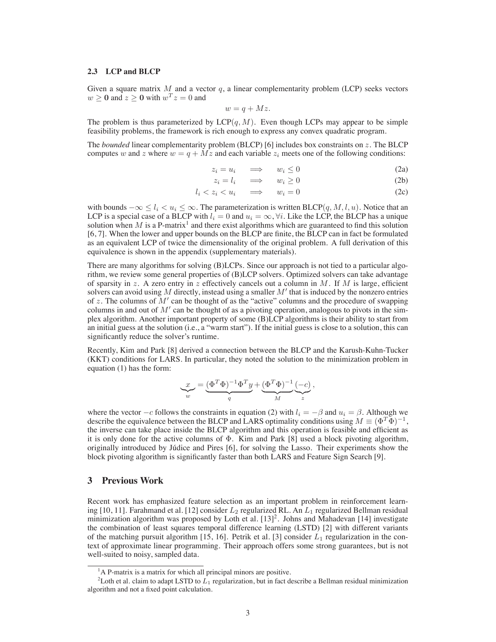#### **2.3 LCP and BLCP**

Given a square matrix  $M$  and a vector  $q$ , a linear complementarity problem (LCP) seeks vectors  $w \ge 0$  and  $z \ge 0$  with  $w^T z = 0$  and

$$
w = q + Mz.
$$

The problem is thus parameterized by  $LCP(q, M)$ . Even though LCPs may appear to be simple feasibility problems, the framework is rich enough to express any convex quadratic program.

The *bounded* linear complementarity problem (BLCP) [6] includes box constraints on z. The BLCP computes w and z where  $w = q + Mz$  and each variable  $z_i$  meets one of the following conditions:

$$
z_i = u_i \quad \implies \quad w_i \le 0 \tag{2a}
$$

$$
z_i = l_i \quad \implies \quad w_i \ge 0 \tag{2b}
$$

$$
l_i < z_i < u_i \quad \implies \quad w_i = 0 \tag{2c}
$$

with bounds  $-\infty \le l_i \le u_i \le \infty$ . The parameterization is written BLCP(q, M, l, u). Notice that an LCP is a special case of a BLCP with  $l_i = 0$  and  $u_i = \infty$ ,  $\forall i$ . Like the LCP, the BLCP has a unique solution when  $M$  is a P-matrix<sup>1</sup> and there exist algorithms which are guaranteed to find this solution [6, 7]. When the lower and upper bounds on the BLCP are finite, the BLCP can in fact be formulated as an equivalent LCP of twice the dimensionality of the original problem. A full derivation of this equivalence is shown in the appendix (supplementary materials).

There are many algorithms for solving (B)LCPs. Since our approach is not tied to a particular algorithm, we review some general properties of (B)LCP solvers. Optimized solvers can take advantage of sparsity in z. A zero entry in z effectively cancels out a column in M. If M is large, efficient solvers can avoid using  $M$  directly, instead using a smaller  $M'$  that is induced by the nonzero entries of z. The columns of  $M'$  can be thought of as the "active" columns and the procedure of swapping columns in and out of  $M'$  can be thought of as a pivoting operation, analogous to pivots in the simplex algorithm. Another important property of some (B)LCP algorithms is their ability to start from an initial guess at the solution (i.e., a "warm start"). If the initial guess is close to a solution, this can significantly reduce the solver's runtime.

Recently, Kim and Park [8] derived a connection between the BLCP and the Karush-Kuhn-Tucker (KKT) conditions for LARS. In particular, they noted the solution to the minimization problem in equation (1) has the form:

$$
\underbrace{x}_{w} = \underbrace{(\Phi^T \Phi)^{-1} \Phi^T y}_{q} + \underbrace{(\Phi^T \Phi)^{-1}}_{M} \underbrace{(-c)}_{z},
$$

where the vector  $-c$  follows the constraints in equation (2) with  $l_i = -\beta$  and  $u_i = \beta$ . Although we describe the equivalence between the BLCP and LARS optimality conditions using  $M \equiv (\Phi^T \Phi)^{-1}$ , the inverse can take place inside the BLCP algorithm and this operation is feasible and efficient as it is only done for the active columns of Φ. Kim and Park [8] used a block pivoting algorithm, originally introduced by Júdice and Pires [6], for solving the Lasso. Their experiments show the block pivoting algorithm is significantly faster than both LARS and Feature Sign Search [9].

# **3 Previous Work**

Recent work has emphasized feature selection as an important problem in reinforcement learning [10, 11]. Farahmand et al. [12] consider  $L_2$  regularized RL. An  $L_1$  regularized Bellman residual minimization algorithm was proposed by Loth et al.  $[13]^2$ . Johns and Mahadevan [14] investigate the combination of least squares temporal difference learning (LSTD) [2] with different variants of the matching pursuit algorithm [15, 16]. Petrik et al. [3] consider  $L_1$  regularization in the context of approximate linear programming. Their approach offers some strong guarantees, but is not well-suited to noisy, sampled data.

<sup>&</sup>lt;sup>1</sup>A P-matrix is a matrix for which all principal minors are positive.

<sup>&</sup>lt;sup>2</sup>Loth et al. claim to adapt LSTD to  $L_1$  regularization, but in fact describe a Bellman residual minimization algorithm and not a fixed point calculation.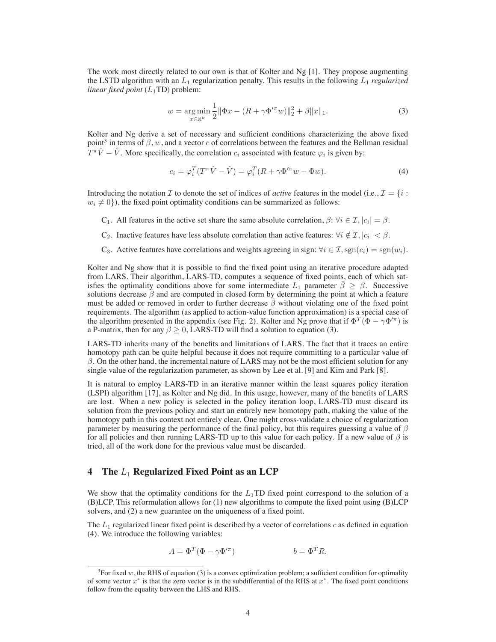The work most directly related to our own is that of Kolter and Ng [1]. They propose augmenting the LSTD algorithm with an  $L_1$  regularization penalty. This results in the following  $L_1$  *regularized linear fixed point*  $(L_1TD)$  problem:

$$
w = \underset{x \in \mathbb{R}^k}{\arg \min} \frac{1}{2} \|\Phi x - (R + \gamma \Phi'^\pi w)\|_2^2 + \beta \|x\|_1. \tag{3}
$$

Kolter and Ng derive a set of necessary and sufficient conditions characterizing the above fixed point<sup>3</sup> in terms of  $\beta$ , w, and a vector c of correlations between the features and the Bellman residual  $T^{\pi}\hat{V} - \hat{V}$ . More specifically, the correlation  $c_i$  associated with feature  $\varphi_i$  is given by:

$$
c_i = \varphi_i^T (T^{\pi} \hat{V} - \hat{V}) = \varphi_i^T (R + \gamma \Phi'^{\pi} w - \Phi w). \tag{4}
$$

Introducing the notation I to denote the set of indices of *active* features in the model (i.e.,  $\mathcal{I} = \{i :$  $w_i \neq 0$ ), the fixed point optimality conditions can be summarized as follows:

C<sub>1</sub>. All features in the active set share the same absolute correlation,  $\beta$ :  $\forall i \in \mathcal{I}, |c_i| = \beta$ .

- C<sub>2</sub>. Inactive features have less absolute correlation than active features:  $\forall i \notin \mathcal{I}, |c_i| < \beta$ .
- C<sub>3</sub>. Active features have correlations and weights agreeing in sign:  $\forall i \in \mathcal{I}$ , sgn $(c_i) = \text{sgn}(w_i)$ .

Kolter and Ng show that it is possible to find the fixed point using an iterative procedure adapted from LARS. Their algorithm, LARS-TD, computes a sequence of fixed points, each of which satisfies the optimality conditions above for some intermediate  $L_1$  parameter  $\bar{\beta} \geq \beta$ . Successive solutions decrease  $\beta$  and are computed in closed form by determining the point at which a feature must be added or removed in order to further decrease  $\bar{\beta}$  without violating one of the fixed point requirements. The algorithm (as applied to action-value function approximation) is a special case of the algorithm presented in the appendix (see Fig. 2). Kolter and Ng prove that if  $\Phi^T(\Phi - \gamma \Phi'^\pi)$  is a P-matrix, then for any  $\beta \ge 0$ , LARS-TD will find a solution to equation (3).

LARS-TD inherits many of the benefits and limitations of LARS. The fact that it traces an entire homotopy path can be quite helpful because it does not require committing to a particular value of  $\beta$ . On the other hand, the incremental nature of LARS may not be the most efficient solution for any single value of the regularization parameter, as shown by Lee et al. [9] and Kim and Park [8].

It is natural to employ LARS-TD in an iterative manner within the least squares policy iteration (LSPI) algorithm [17], as Kolter and Ng did. In this usage, however, many of the benefits of LARS are lost. When a new policy is selected in the policy iteration loop, LARS-TD must discard its solution from the previous policy and start an entirely new homotopy path, making the value of the homotopy path in this context not entirely clear. One might cross-validate a choice of regularization parameter by measuring the performance of the final policy, but this requires guessing a value of  $\beta$ for all policies and then running LARS-TD up to this value for each policy. If a new value of  $\beta$  is tried, all of the work done for the previous value must be discarded.

# **4 The** L<sup>1</sup> **Regularized Fixed Point as an LCP**

We show that the optimality conditions for the  $L_1$ TD fixed point correspond to the solution of a (B)LCP. This reformulation allows for (1) new algorithms to compute the fixed point using (B)LCP solvers, and (2) a new guarantee on the uniqueness of a fixed point.

The  $L_1$  regularized linear fixed point is described by a vector of correlations c as defined in equation (4). We introduce the following variables:

$$
A = \Phi^T (\Phi - \gamma \Phi'^\pi) \qquad \qquad b = \Phi^T R,
$$

 ${}^{3}$  For fixed w, the RHS of equation (3) is a convex optimization problem; a sufficient condition for optimality of some vector  $x^*$  is that the zero vector is in the subdifferential of the RHS at  $x^*$ . The fixed point conditions follow from the equality between the LHS and RHS.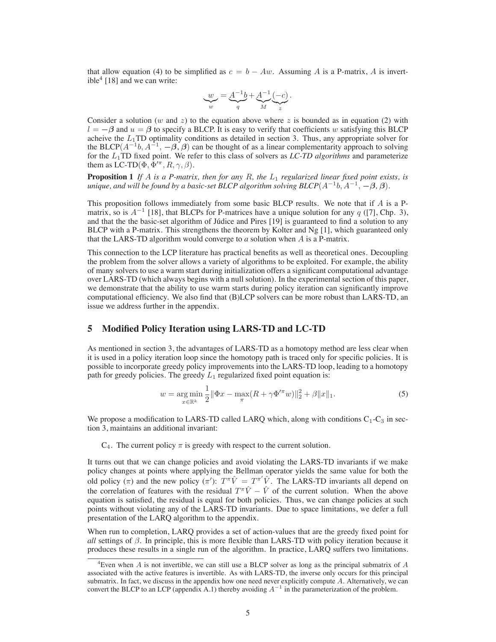that allow equation (4) to be simplified as  $c = b - Aw$ . Assuming A is a P-matrix, A is invertible<sup>4</sup> [18] and we can write:

$$
\underbrace{w}_{w} = \underbrace{A^{-1}b}_{q} + \underbrace{A^{-1}}_{M} \underbrace{(-c)}_{z}.
$$

Consider a solution (w and z) to the equation above where z is bounded as in equation (2) with  $l = -\beta$  and  $u = \beta$  to specify a BLCP. It is easy to verify that coefficients w satisfying this BLCP acheive the  $L_1$ TD optimality conditions as detailed in section 3. Thus, any appropriate solver for the BLCP( $A^{-1}b$ ,  $A^{-1}$ ,  $-\beta$ ,  $\beta$ ) can be thought of as a linear complementarity approach to solving for the L1TD fixed point. We refer to this class of solvers as *LC-TD algorithms* and parameterize them as LC-TD( $\Phi$ ,  $\Phi^{\prime\pi}$ ,  $R$ ,  $\gamma$ ,  $\beta$ ).

**Proposition 1** If A is a P-matrix, then for any R, the  $L_1$  regularized linear fixed point exists, is *unique, and will be found by a basic-set BLCP algorithm solving BLCP*( $A^{-1}b$ ,  $A^{-1}$ ,  $-\beta$ ,  $\beta$ ).

This proposition follows immediately from some basic BLCP results. We note that if  $A$  is a Pmatrix, so is  $A^{-1}$  [18], that BLCPs for P-matrices have a unique solution for any q ([7], Chp. 3), and that the the basic-set algorithm of Júdice and Pires [19] is guaranteed to find a solution to any BLCP with a P-matrix. This strengthens the theorem by Kolter and Ng [1], which guaranteed only that the LARS-TD algorithm would converge to *a* solution when A is a P-matrix.

This connection to the LCP literature has practical benefits as well as theoretical ones. Decoupling the problem from the solver allows a variety of algorithms to be exploited. For example, the ability of many solvers to use a warm start during initialization offers a significant computational advantage over LARS-TD (which always begins with a null solution). In the experimental section of this paper, we demonstrate that the ability to use warm starts during policy iteration can significantly improve computational efficiency. We also find that (B)LCP solvers can be more robust than LARS-TD, an issue we address further in the appendix.

## **5 Modified Policy Iteration using LARS-TD and LC-TD**

As mentioned in section 3, the advantages of LARS-TD as a homotopy method are less clear when it is used in a policy iteration loop since the homotopy path is traced only for specific policies. It is possible to incorporate greedy policy improvements into the LARS-TD loop, leading to a homotopy path for greedy policies. The greedy  $L_1$  regularized fixed point equation is:

$$
w = \underset{x \in \mathbb{R}^k}{\arg \min} \frac{1}{2} \|\Phi x - \underset{\pi}{\max} (R + \gamma \Phi'^\pi w)\|_2^2 + \beta \|x\|_1. \tag{5}
$$

We propose a modification to LARS-TD called LARQ which, along with conditions  $C_1-C_3$  in section 3, maintains an additional invariant:

 $C_4$ . The current policy  $\pi$  is greedy with respect to the current solution.

It turns out that we can change policies and avoid violating the LARS-TD invariants if we make policy changes at points where applying the Bellman operator yields the same value for both the old policy ( $\pi$ ) and the new policy ( $\pi$ ):  $T^{\pi}\hat{V} = T^{\pi'}\hat{V}$ . The LARS-TD invariants all depend on the correlation of features with the residual  $T^{\pi}\hat{V} - \hat{V}$  of the current solution. When the above equation is satisfied, the residual is equal for both policies. Thus, we can change policies at such points without violating any of the LARS-TD invariants. Due to space limitations, we defer a full presentation of the LARQ algorithm to the appendix.

When run to completion, LARQ provides a set of action-values that are the greedy fixed point for *all* settings of  $\beta$ . In principle, this is more flexible than LARS-TD with policy iteration because it produces these results in a single run of the algorithm. In practice, LARQ suffers two limitations.

 $4$ Even when A is not invertible, we can still use a BLCP solver as long as the principal submatrix of A associated with the active features is invertible. As with LARS-TD, the inverse only occurs for this principal submatrix. In fact, we discuss in the appendix how one need never explicitly compute A. Alternatively, we can convert the BLCP to an LCP (appendix A.1) thereby avoiding  $A^{-1}$  in the parameterization of the problem.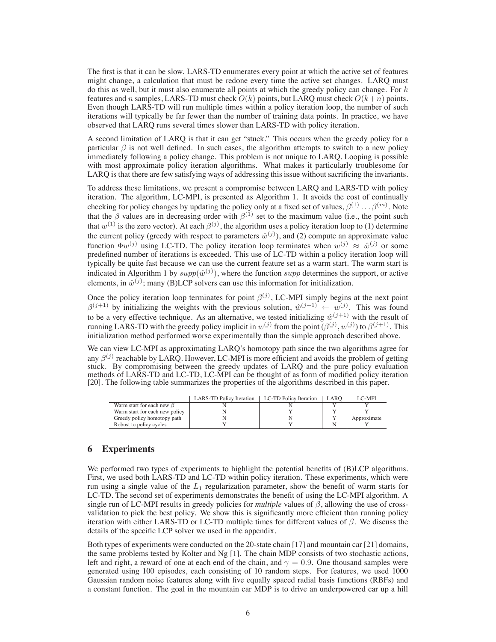The first is that it can be slow. LARS-TD enumerates every point at which the active set of features might change, a calculation that must be redone every time the active set changes. LARQ must do this as well, but it must also enumerate all points at which the greedy policy can change. For  $k$ features and n samples, LARS-TD must check  $O(k)$  points, but LARQ must check  $O(k+n)$  points. Even though LARS-TD will run multiple times within a policy iteration loop, the number of such iterations will typically be far fewer than the number of training data points. In practice, we have observed that LARQ runs several times slower than LARS-TD with policy iteration.

A second limitation of LARQ is that it can get "stuck." This occurs when the greedy policy for a particular  $\beta$  is not well defined. In such cases, the algorithm attempts to switch to a new policy immediately following a policy change. This problem is not unique to LARQ. Looping is possible with most approximate policy iteration algorithms. What makes it particularly troublesome for LARQ is that there are few satisfying ways of addressing this issue without sacrificing the invariants.

To address these limitations, we present a compromise between LARQ and LARS-TD with policy iteration. The algorithm, LC-MPI, is presented as Algorithm 1. It avoids the cost of continually checking for policy changes by updating the policy only at a fixed set of values,  $\beta^{(1)} \dots \beta^{(m)}$ . Note that the  $\beta$  values are in decreasing order with  $\beta^{(1)}$  set to the maximum value (i.e., the point such that  $w^{(1)}$  is the zero vector). At each  $\beta^{(j)}$ , the algorithm uses a policy iteration loop to (1) determine the current policy (greedy with respect to parameters  $\hat{w}^{(j)}$ ), and (2) compute an approximate value function  $\Phi w^{(j)}$  using LC-TD. The policy iteration loop terminates when  $w^{(j)} \approx \hat{w}^{(j)}$  or some predefined number of iterations is exceeded. This use of LC-TD within a policy iteration loop will typically be quite fast because we can use the current feature set as a warm start. The warm start is indicated in Algorithm 1 by  $supp(\hat{w}^{(j)})$ , where the function supp determines the support, or active elements, in  $\hat{w}^{(j)}$ ; many (B)LCP solvers can use this information for initialization.

Once the policy iteration loop terminates for point  $\beta^{(j)}$ , LC-MPI simply begins at the next point  $\beta^{(j+1)}$  by initializing the weights with the previous solution,  $\hat{w}^{(j+1)} \leftarrow w^{(j)}$ . This was found to be a very effective technique. As an alternative, we tested initializing  $\hat{w}^{(\tilde{j}+1)}$  with the result of running LARS-TD with the greedy policy implicit in  $w^{(j)}$  from the point  $(\beta^{(j)}, w^{(j)})$  to  $\beta^{(j+1)}$ . This initialization method performed worse experimentally than the simple approach described above.

We can view LC-MPI as approximating LARQ's homotopy path since the two algorithms agree for any  $\beta^{(j)}$  reachable by LARQ. However, LC-MPI is more efficient and avoids the problem of getting stuck. By compromising between the greedy updates of LARQ and the pure policy evaluation methods of LARS-TD and LC-TD, LC-MPI can be thought of as form of modified policy iteration [20]. The following table summarizes the properties of the algorithms described in this paper.

|                                 | <b>LARS-TD Policy Iteration</b> | LC-TD Policy Iteration | LARO | LC-MPI      |
|---------------------------------|---------------------------------|------------------------|------|-------------|
| Warm start for each new $\beta$ |                                 |                        |      |             |
| Warm start for each new policy  |                                 |                        |      |             |
| Greedy policy homotopy path     |                                 |                        |      | Approximate |
| Robust to policy cycles         |                                 |                        |      |             |

# **6 Experiments**

We performed two types of experiments to highlight the potential benefits of (B)LCP algorithms. First, we used both LARS-TD and LC-TD within policy iteration. These experiments, which were run using a single value of the  $L_1$  regularization parameter, show the benefit of warm starts for LC-TD. The second set of experiments demonstrates the benefit of using the LC-MPI algorithm. A single run of LC-MPI results in greedy policies for *multiple* values of  $\beta$ , allowing the use of crossvalidation to pick the best policy. We show this is significantly more efficient than running policy iteration with either LARS-TD or LC-TD multiple times for different values of β. We discuss the details of the specific LCP solver we used in the appendix.

Both types of experiments were conducted on the 20-state chain [17] and mountain car [21] domains, the same problems tested by Kolter and Ng [1]. The chain MDP consists of two stochastic actions, left and right, a reward of one at each end of the chain, and  $\gamma = 0.9$ . One thousand samples were generated using 100 episodes, each consisting of 10 random steps. For features, we used 1000 Gaussian random noise features along with five equally spaced radial basis functions (RBFs) and a constant function. The goal in the mountain car MDP is to drive an underpowered car up a hill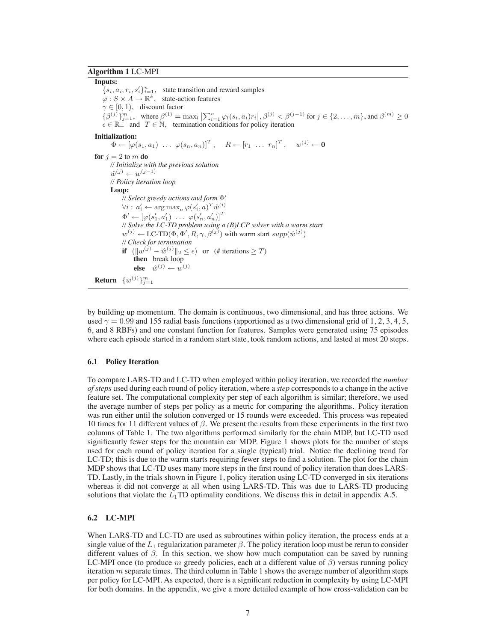### **Algorithm 1** LC-MPI

#### **Inputs:**

 ${s_i, a_i, r_i, s'_i}_{i=1}^n$ , state transition and reward samples  $\varphi: S \times A \to \mathbb{R}^k$ , state-action features  $\gamma \in [0, 1)$ , discount factor  $\{\beta^{(j)}\}_{j=1}^m$ , where  $\beta^{(1)} = \max_l |\sum_{i=1}^n \varphi_l(s_i, a_i) r_i|, \beta^{(j)} < \beta^{(j-1)}$  for  $j \in \{2, ..., m\}$ , and  $\beta^{(m)} \ge 0$ <br> $\epsilon \in \mathbb{R}_+$  and  $T \in \mathbb{N}$ , termination conditions for policy iteration **Initialization:**  $\Phi \leftarrow \left[ \varphi(s_1, a_1) \; \ldots \; \varphi(s_n, a_n) \right]^T, \quad R \leftarrow \left[ r_1 \; \ldots \; r_n \right]^T, \quad w^{(1)} \leftarrow \mathbf{0}$ **for**  $j = 2$  to  $m$  **do** *// Initialize with the previous solution*  $\hat{w}^{(j)} \leftarrow w^{(j-1)}$ *// Policy iteration loop* **Loop:** *// Select greedy actions and form* Φ!  $\forall i: a'_i \leftarrow \argmax_a \varphi(s'_i, a)^T \hat{w}^{(i)}$  $\Phi' \leftarrow [\varphi(s'_1, a'_1) \dots \varphi(s'_n, a'_n)]^T$ *// Solve the LC-TD problem using a (B)LCP solver with a warm start*  $w^{(j)} \leftarrow \text{LC-TD}(\Phi, \Phi', R, \gamma, \beta^{(j)})$  with warm start  $supp(\hat{w}^{(j)})$ *// Check for termination* **if**  $(\Vert w^{(j)} - \hat{w}^{(j)} \Vert_2 \le \epsilon)$  or  $(\# \text{ iterations} \ge T)$ **then** break loop **else**  $\hat{w}^{(j)} \leftarrow w^{(j)}$  $\mathbf{Return}\ \{w^{(j)}\}_{j=1}^{m}$ 

by building up momentum. The domain is continuous, two dimensional, and has three actions. We used  $\gamma = 0.99$  and 155 radial basis functions (apportioned as a two dimensional grid of 1, 2, 3, 4, 5, 6, and 8 RBFs) and one constant function for features. Samples were generated using 75 episodes where each episode started in a random start state, took random actions, and lasted at most 20 steps.

#### **6.1 Policy Iteration**

To compare LARS-TD and LC-TD when employed within policy iteration, we recorded the *number of steps* used during each round of policy iteration, where a *step* corresponds to a change in the active feature set. The computational complexity per step of each algorithm is similar; therefore, we used the average number of steps per policy as a metric for comparing the algorithms. Policy iteration was run either until the solution converged or 15 rounds were exceeded. This process was repeated 10 times for 11 different values of  $β$ . We present the results from these experiments in the first two columns of Table 1. The two algorithms performed similarly for the chain MDP, but LC-TD used significantly fewer steps for the mountain car MDP. Figure 1 shows plots for the number of steps used for each round of policy iteration for a single (typical) trial. Notice the declining trend for LC-TD; this is due to the warm starts requiring fewer steps to find a solution. The plot for the chain MDP shows that LC-TD uses many more steps in the first round of policy iteration than does LARS-TD. Lastly, in the trials shown in Figure 1, policy iteration using LC-TD converged in six iterations whereas it did not converge at all when using LARS-TD. This was due to LARS-TD producing solutions that violate the  $L_1$ TD optimality conditions. We discuss this in detail in appendix A.5.

#### **6.2 LC-MPI**

When LARS-TD and LC-TD are used as subroutines within policy iteration, the process ends at a single value of the  $L_1$  regularization parameter  $\beta$ . The policy iteration loop must be rerun to consider different values of  $\beta$ . In this section, we show how much computation can be saved by running LC-MPI once (to produce m greedy policies, each at a different value of  $\beta$ ) versus running policy iteration  $m$  separate times. The third column in Table 1 shows the average number of algorithm steps per policy for LC-MPI. As expected, there is a significant reduction in complexity by using LC-MPI for both domains. In the appendix, we give a more detailed example of how cross-validation can be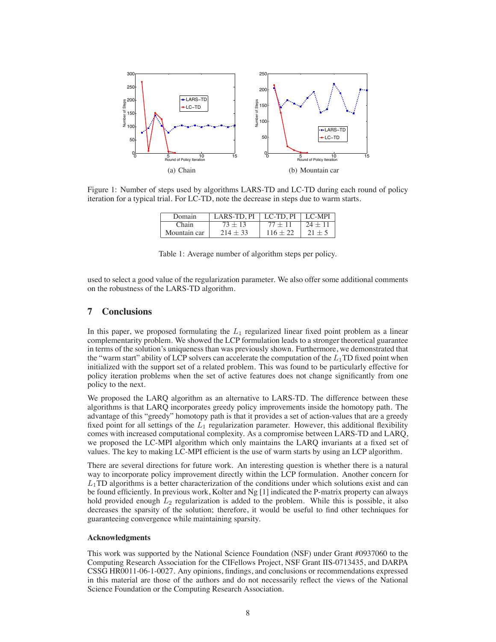

Figure 1: Number of steps used by algorithms LARS-TD and LC-TD during each round of policy iteration for a typical trial. For LC-TD, note the decrease in steps due to warm starts.

| Domain       | <b>LARS-TD.PI</b> | LC-TD. PI  | $\mid$ LC-MPI |
|--------------|-------------------|------------|---------------|
| $\cap$ hain  | 73 + 13           |            | $24 +$        |
| Mountain car | $214 + 33$        | $116 + 22$ |               |

Table 1: Average number of algorithm steps per policy.

used to select a good value of the regularization parameter. We also offer some additional comments on the robustness of the LARS-TD algorithm.

# **7 Conclusions**

In this paper, we proposed formulating the  $L_1$  regularized linear fixed point problem as a linear complementarity problem. We showed the LCP formulation leads to a stronger theoretical guarantee in terms of the solution's uniqueness than was previously shown. Furthermore, we demonstrated that the "warm start" ability of LCP solvers can accelerate the computation of the  $L_1$ TD fixed point when initialized with the support set of a related problem. This was found to be particularly effective for policy iteration problems when the set of active features does not change significantly from one policy to the next.

We proposed the LARQ algorithm as an alternative to LARS-TD. The difference between these algorithms is that LARQ incorporates greedy policy improvements inside the homotopy path. The advantage of this "greedy" homotopy path is that it provides a set of action-values that are a greedy fixed point for all settings of the  $L_1$  regularization parameter. However, this additional flexibility comes with increased computational complexity. As a compromise between LARS-TD and LARQ, we proposed the LC-MPI algorithm which only maintains the LARQ invariants at a fixed set of values. The key to making LC-MPI efficient is the use of warm starts by using an LCP algorithm.

There are several directions for future work. An interesting question is whether there is a natural way to incorporate policy improvement directly within the LCP formulation. Another concern for  $L_1$ TD algorithms is a better characterization of the conditions under which solutions exist and can be found efficiently. In previous work, Kolter and Ng [1] indicated the P-matrix property can always hold provided enough  $L_2$  regularization is added to the problem. While this is possible, it also decreases the sparsity of the solution; therefore, it would be useful to find other techniques for guaranteeing convergence while maintaining sparsity.

#### **Acknowledgments**

This work was supported by the National Science Foundation (NSF) under Grant #0937060 to the Computing Research Association for the CIFellows Project, NSF Grant IIS-0713435, and DARPA CSSG HR0011-06-1-0027. Any opinions, findings, and conclusions or recommendations expressed in this material are those of the authors and do not necessarily reflect the views of the National Science Foundation or the Computing Research Association.